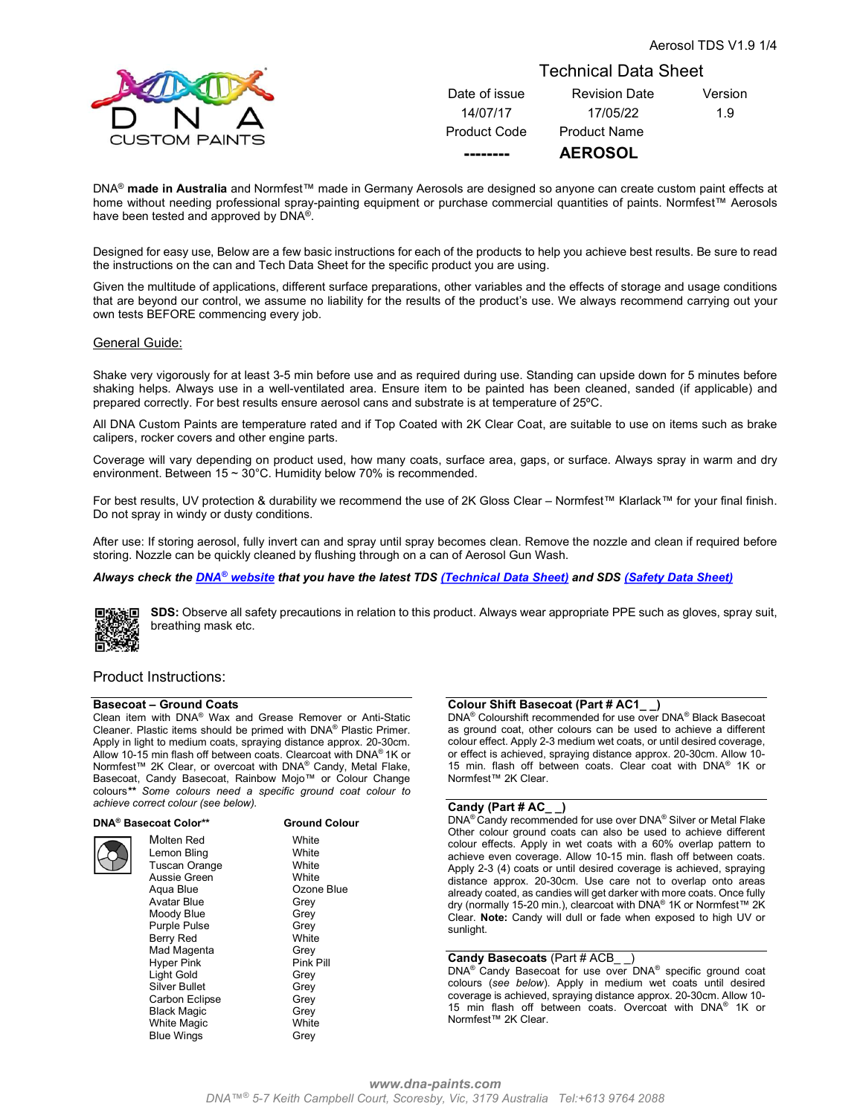

# Technical Data Sheet

| Date of issue       | <b>Revision Date</b> | Version |
|---------------------|----------------------|---------|
| 14/07/17            | 17/05/22             | 1.9     |
| <b>Product Code</b> | <b>Product Name</b>  |         |
|                     | <b>AEROSOL</b>       |         |

DNA<sup>®</sup> made in Australia and Normfest™ made in Germany Aerosols are designed so anyone can create custom paint effects at home without needing professional spray-painting equipment or purchase commercial quantities of paints. Normfest™ Aerosols have been tested and approved by DNA®.

Designed for easy use, Below are a few basic instructions for each of the products to help you achieve best results. Be sure to read the instructions on the can and Tech Data Sheet for the specific product you are using.

Given the multitude of applications, different surface preparations, other variables and the effects of storage and usage conditions that are beyond our control, we assume no liability for the results of the product's use. We always recommend carrying out your own tests BEFORE commencing every job.

# General Guide:

Shake very vigorously for at least 3-5 min before use and as required during use. Standing can upside down for 5 minutes before shaking helps. Always use in a well-ventilated area. Ensure item to be painted has been cleaned, sanded (if applicable) and prepared correctly. For best results ensure aerosol cans and substrate is at temperature of 25ºC.

All DNA Custom Paints are temperature rated and if Top Coated with 2K Clear Coat, are suitable to use on items such as brake calipers, rocker covers and other engine parts.

Coverage will vary depending on product used, how many coats, surface area, gaps, or surface. Always spray in warm and dry environment. Between 15 ~ 30°C. Humidity below 70% is recommended.

For best results, UV protection & durability we recommend the use of 2K Gloss Clear – Normfest™ Klarlack™ for your final finish. Do not spray in windy or dusty conditions.

After use: If storing aerosol, fully invert can and spray until spray becomes clean. Remove the nozzle and clean if required before storing. Nozzle can be quickly cleaned by flushing through on a can of Aerosol Gun Wash.

# Always check the **DNA®** website that you have the latest TDS (Technical Data Sheet) and SDS (Safety Data Sheet)



SDS: Observe all safety precautions in relation to this product. Always wear appropriate PPE such as gloves, spray suit, breathing mask etc.

# Product Instructions:

#### Basecoat – Ground Coats

Clean item with DNA® Wax and Grease Remover or Anti-Static Cleaner. Plastic items should be primed with DNA® Plastic Primer. Apply in light to medium coats, spraying distance approx. 20-30cm. Allow 10-15 min flash off between coats. Clearcoat with DNA® 1K or Normfest™ 2K Clear, or overcoat with DNA® Candy, Metal Flake, Basecoat, Candy Basecoat, Rainbow Mojo™ or Colour Change colours\*\* Some colours need a specific ground coat colour to achieve correct colour (see below).

DNA® Basecoat Color\*\* Ground Colour

Molten Red White Lemon Bling<br>
Tuscan Orange<br>
White Tuscan Orange Aussie Green White Aqua Blue **Cause Company** Ozone Blue Avatar Blue Grey Moody Blue **Grey** Purple Pulse **Grey** Berry Red White Mad Magenta Grey<br>
Hyper Pink Green Green Construction Hyper Pink Pink Pill Light Gold Silver Bullet Grey Carbon Eclipse **Grey** Black Magic **Grey** White Magic **White** Blue Wings **Grey** 

# Colour Shift Basecoat (Part # AC1\_ \_)

DNA® Colourshift recommended for use over DNA® Black Basecoat as ground coat, other colours can be used to achieve a different colour effect. Apply 2-3 medium wet coats, or until desired coverage, or effect is achieved, spraying distance approx. 20-30cm. Allow 10- 15 min. flash off between coats. Clear coat with DNA® 1K or Normfest™ 2K Clear.

### Candy (Part # AC\_ \_)

DNA® Candy recommended for use over DNA® Silver or Metal Flake Other colour ground coats can also be used to achieve different colour effects. Apply in wet coats with a 60% overlap pattern to achieve even coverage. Allow 10-15 min. flash off between coats. Apply 2-3 (4) coats or until desired coverage is achieved, spraying distance approx. 20-30cm. Use care not to overlap onto areas already coated, as candies will get darker with more coats. Once fully dry (normally 15-20 min.), clearcoat with DNA<sup>®</sup> 1K or Normfest™ 2K Clear. Note: Candy will dull or fade when exposed to high UV or sunlight.

#### Candy Basecoats (Part # ACB )

DNA<sup>®</sup> Candy Basecoat for use over DNA<sup>®</sup> specific ground coat colours (see below). Apply in medium wet coats until desired coverage is achieved, spraying distance approx. 20-30cm. Allow 10- 15 min flash off between coats. Overcoat with DNA® 1K or Normfest™ 2K Clear.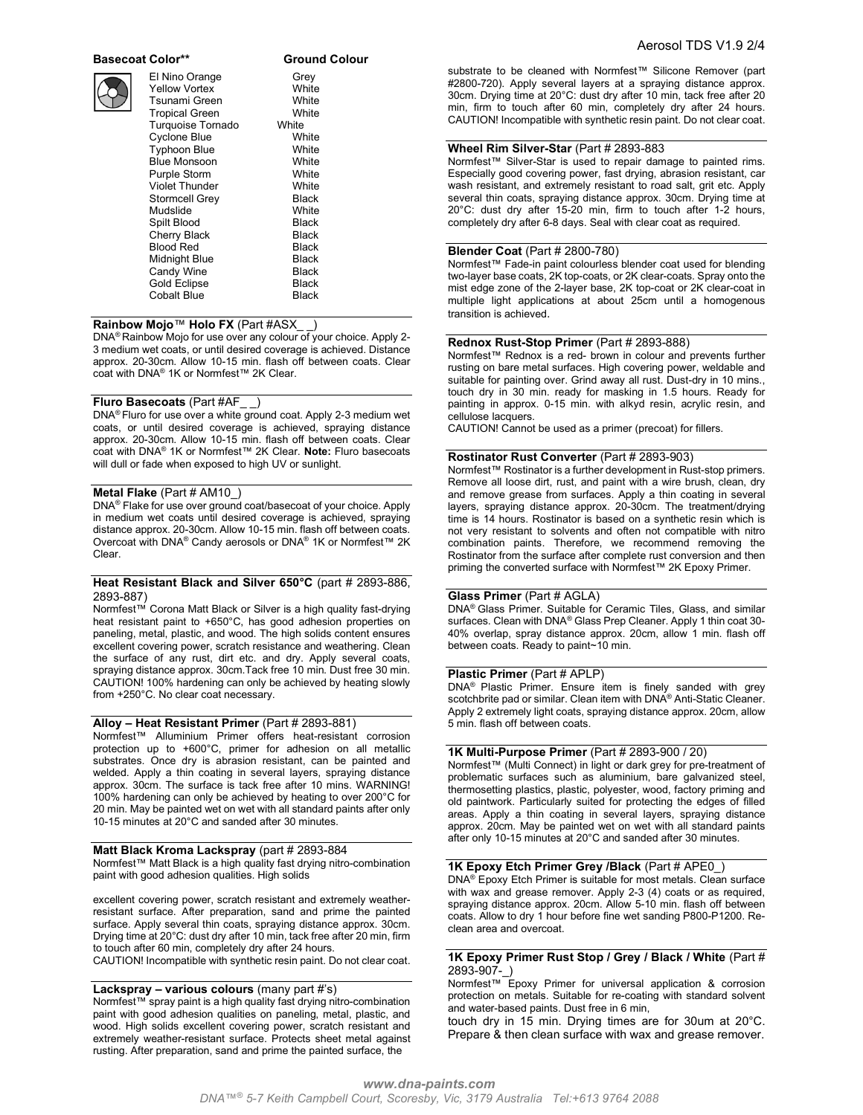# Basecoat Color\*\* Ground Colour



| El Nino Orange           | Grey  |  |
|--------------------------|-------|--|
| <b>Yellow Vortex</b>     | White |  |
| Tsunami Green            | White |  |
| <b>Tropical Green</b>    | White |  |
| <b>Turquoise Tornado</b> | White |  |
| <b>Cyclone Blue</b>      | White |  |
| <b>Typhoon Blue</b>      | White |  |
| <b>Blue Monsoon</b>      | White |  |
| Purple Storm             | White |  |
| <b>Violet Thunder</b>    | White |  |
| Stormcell Grey           | Black |  |
| Mudslide                 | White |  |
| Spilt Blood              | Black |  |
| Cherry Black             | Black |  |
| <b>Blood Red</b>         | Black |  |
| Midnight Blue            | Black |  |
| Candy Wine               | Black |  |
| <b>Gold Eclipse</b>      | Black |  |
| <b>Cobalt Blue</b>       | Black |  |

### Rainbow Mojo™ Holo FX (Part #ASX\_

DNA® Rainbow Mojo for use over any colour of your choice. Apply 2- 3 medium wet coats, or until desired coverage is achieved. Distance approx. 20-30cm. Allow 10-15 min. flash off between coats. Clear coat with DNA® 1K or Normfest™ 2K Clear.

# Fluro Basecoats (Part #AF\_ \_)

DNA® Fluro for use over a white ground coat. Apply 2-3 medium wet coats, or until desired coverage is achieved, spraying distance approx. 20-30cm. Allow 10-15 min. flash off between coats. Clear coat with DNA® 1K or Normfest™ 2K Clear. Note: Fluro basecoats will dull or fade when exposed to high UV or sunlight.

#### Metal Flake (Part # AM10\_)

DNA® Flake for use over ground coat/basecoat of your choice. Apply in medium wet coats until desired coverage is achieved, spraying distance approx. 20-30cm. Allow 10-15 min. flash off between coats. Overcoat with DNA® Candy aerosols or DNA® 1K or Normfest™ 2K Clear.

#### Heat Resistant Black and Silver 650°C (part # 2893-886, 2893-887)

Normfest™ Corona Matt Black or Silver is a high quality fast-drying heat resistant paint to +650°C, has good adhesion properties on paneling, metal, plastic, and wood. The high solids content ensures excellent covering power, scratch resistance and weathering. Clean the surface of any rust, dirt etc. and dry. Apply several coats, spraying distance approx. 30cm.Tack free 10 min. Dust free 30 min. CAUTION! 100% hardening can only be achieved by heating slowly from +250°C. No clear coat necessary.

### Alloy – Heat Resistant Primer (Part # 2893-881)

Normfest™ Alluminium Primer offers heat-resistant corrosion protection up to +600°C, primer for adhesion on all metallic substrates. Once dry is abrasion resistant, can be painted and welded. Apply a thin coating in several layers, spraying distance approx. 30cm. The surface is tack free after 10 mins. WARNING! 100% hardening can only be achieved by heating to over 200°C for 20 min. May be painted wet on wet with all standard paints after only 10-15 minutes at 20°C and sanded after 30 minutes.

#### Matt Black Kroma Lackspray (part # 2893-884

Normfest™ Matt Black is a high quality fast drying nitro-combination paint with good adhesion qualities. High solids

excellent covering power, scratch resistant and extremely weatherresistant surface. After preparation, sand and prime the painted surface. Apply several thin coats, spraying distance approx. 30cm. Drying time at 20°C: dust dry after 10 min, tack free after 20 min, firm to touch after 60 min, completely dry after 24 hours.

CAUTION! Incompatible with synthetic resin paint. Do not clear coat.

# Lackspray - various colours (many part #'s)

Normfest™ spray paint is a high quality fast drying nitro-combination paint with good adhesion qualities on paneling, metal, plastic, and wood. High solids excellent covering power, scratch resistant and extremely weather-resistant surface. Protects sheet metal against rusting. After preparation, sand and prime the painted surface, the

substrate to be cleaned with Normfest™ Silicone Remover (part #2800-720). Apply several layers at a spraying distance approx. 30cm. Drying time at 20°C: dust dry after 10 min, tack free after 20 min, firm to touch after 60 min, completely dry after 24 hours. CAUTION! Incompatible with synthetic resin paint. Do not clear coat.

### Wheel Rim Silver-Star (Part # 2893-883

Normfest™ Silver-Star is used to repair damage to painted rims. Especially good covering power, fast drying, abrasion resistant, car wash resistant, and extremely resistant to road salt, grit etc. Apply several thin coats, spraying distance approx. 30cm. Drying time at 20°C: dust dry after 15-20 min, firm to touch after 1-2 hours, completely dry after 6-8 days. Seal with clear coat as required.

# Blender Coat (Part # 2800-780)

Normfest™ Fade-in paint colourless blender coat used for blending two-layer base coats, 2K top-coats, or 2K clear-coats. Spray onto the mist edge zone of the 2-layer base, 2K top-coat or 2K clear-coat in multiple light applications at about 25cm until a homogenous transition is achieved.

### Rednox Rust-Stop Primer (Part # 2893-888)

Normfest™ Rednox is a red- brown in colour and prevents further rusting on bare metal surfaces. High covering power, weldable and suitable for painting over. Grind away all rust. Dust-dry in 10 mins., touch dry in 30 min. ready for masking in 1.5 hours. Ready for painting in approx. 0-15 min. with alkyd resin, acrylic resin, and cellulose lacquers.

CAUTION! Cannot be used as a primer (precoat) for fillers.

#### Rostinator Rust Converter (Part # 2893-903)

Normfest™ Rostinator is a further development in Rust-stop primers. Remove all loose dirt, rust, and paint with a wire brush, clean, dry and remove grease from surfaces. Apply a thin coating in several layers, spraying distance approx. 20-30cm. The treatment/drying time is 14 hours. Rostinator is based on a synthetic resin which is not very resistant to solvents and often not compatible with nitro combination paints. Therefore, we recommend removing the Rostinator from the surface after complete rust conversion and then priming the converted surface with Normfest™ 2K Epoxy Primer.

### Glass Primer (Part # AGLA)

DNA® Glass Primer. Suitable for Ceramic Tiles, Glass, and similar surfaces. Clean with DNA® Glass Prep Cleaner. Apply 1 thin coat 30- 40% overlap, spray distance approx. 20cm, allow 1 min. flash off between coats. Ready to paint~10 min.

#### Plastic Primer (Part # APLP)

DNA® Plastic Primer. Ensure item is finely sanded with grey scotchbrite pad or similar. Clean item with DNA® Anti-Static Cleaner. Apply 2 extremely light coats, spraying distance approx. 20cm, allow 5 min. flash off between coats.

## 1K Multi-Purpose Primer (Part # 2893-900 / 20)

Normfest™ (Multi Connect) in light or dark grey for pre-treatment of problematic surfaces such as aluminium, bare galvanized steel, thermosetting plastics, plastic, polyester, wood, factory priming and old paintwork. Particularly suited for protecting the edges of filled areas. Apply a thin coating in several layers, spraying distance approx. 20cm. May be painted wet on wet with all standard paints after only 10-15 minutes at 20°C and sanded after 30 minutes.

# 1K Epoxy Etch Primer Grey /Black (Part # APE0\_)

DNA® Epoxy Etch Primer is suitable for most metals. Clean surface with wax and grease remover. Apply 2-3 (4) coats or as required, spraying distance approx. 20cm. Allow 5-10 min. flash off between coats. Allow to dry 1 hour before fine wet sanding P800-P1200. Reclean area and overcoat.

### 1K Epoxy Primer Rust Stop / Grey / Black / White (Part # 2893-907-\_)

Normfest™ Epoxy Primer for universal application & corrosion protection on metals. Suitable for re-coating with standard solvent and water-based paints. Dust free in 6 min,

touch dry in 15 min. Drying times are for 30um at 20°C. Prepare & then clean surface with wax and grease remover.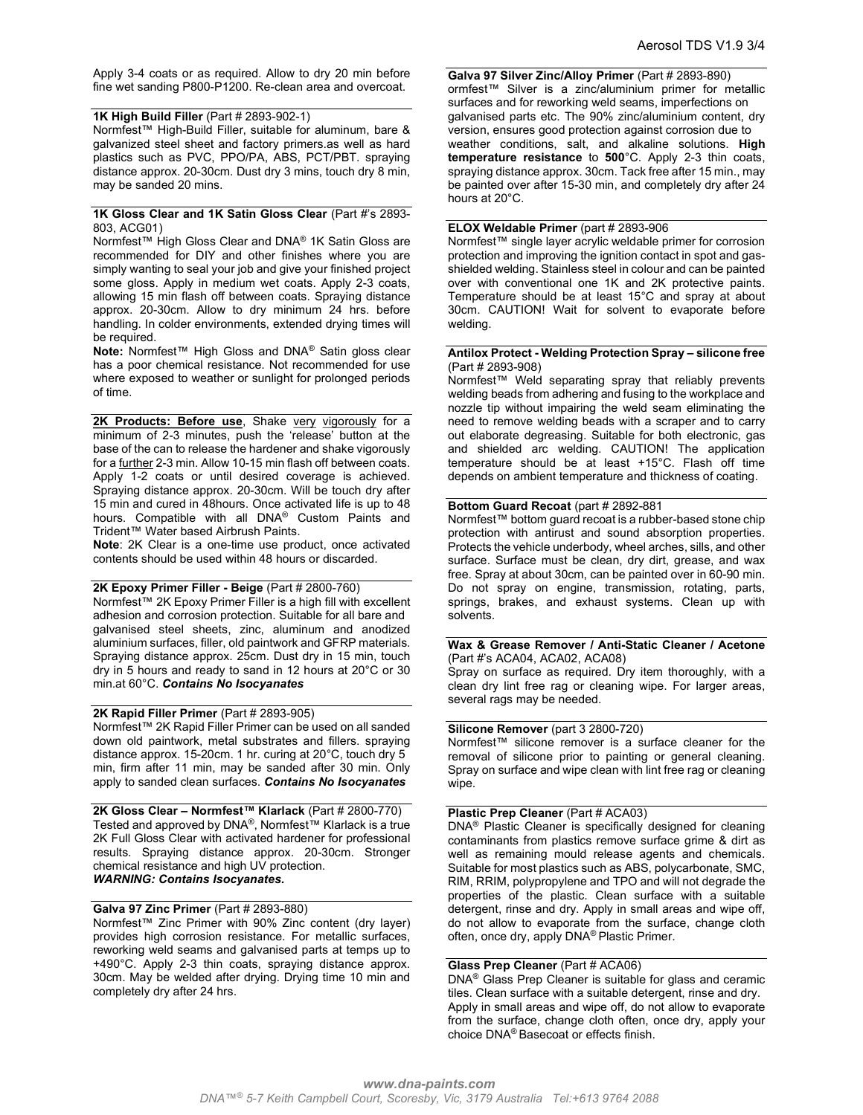Apply 3-4 coats or as required. Allow to dry 20 min before fine wet sanding P800-P1200. Re-clean area and overcoat.

# 1K High Build Filler (Part # 2893-902-1)

Normfest™ High-Build Filler, suitable for aluminum, bare & galvanized steel sheet and factory primers.as well as hard plastics such as PVC, PPO/PA, ABS, PCT/PBT. spraying distance approx. 20-30cm. Dust dry 3 mins, touch dry 8 min, may be sanded 20 mins.

# 1K Gloss Clear and 1K Satin Gloss Clear (Part #'s 2893-803, ACG01)

Normfest™ High Gloss Clear and DNA® 1K Satin Gloss are recommended for DIY and other finishes where you are simply wanting to seal your job and give your finished project some gloss. Apply in medium wet coats. Apply 2-3 coats, allowing 15 min flash off between coats. Spraying distance approx. 20-30cm. Allow to dry minimum 24 hrs. before handling. In colder environments, extended drying times will be required.

Note: Normfest™ High Gloss and DNA® Satin gloss clear has a poor chemical resistance. Not recommended for use where exposed to weather or sunlight for prolonged periods of time.

2K Products: Before use, Shake very vigorously for a minimum of 2-3 minutes, push the 'release' button at the base of the can to release the hardener and shake vigorously for a further 2-3 min. Allow 10-15 min flash off between coats. Apply 1-2 coats or until desired coverage is achieved. Spraying distance approx. 20-30cm. Will be touch dry after 15 min and cured in 48hours. Once activated life is up to 48 hours. Compatible with all DNA® Custom Paints and Trident™ Water based Airbrush Paints.

Note: 2K Clear is a one-time use product, once activated contents should be used within 48 hours or discarded.

### 2K Epoxy Primer Filler - Beige (Part # 2800-760)

Normfest™ 2K Epoxy Primer Filler is a high fill with excellent adhesion and corrosion protection. Suitable for all bare and galvanised steel sheets, zinc, aluminum and anodized aluminium surfaces, filler, old paintwork and GFRP materials. Spraying distance approx. 25cm. Dust dry in 15 min, touch dry in 5 hours and ready to sand in 12 hours at 20°C or 30 min.at 60°C. Contains No Isocyanates

### 2K Rapid Filler Primer (Part # 2893-905)

Normfest™ 2K Rapid Filler Primer can be used on all sanded down old paintwork, metal substrates and fillers. spraying distance approx. 15-20cm. 1 hr. curing at 20°C, touch dry 5 min, firm after 11 min, may be sanded after 30 min. Only apply to sanded clean surfaces. Contains No Isocyanates

2K Gloss Clear – Normfest™ Klarlack (Part # 2800-770) Tested and approved by DNA®, Normfest<sup>†M</sup> Klarlack is a true 2K Full Gloss Clear with activated hardener for professional results. Spraying distance approx. 20-30cm. Stronger chemical resistance and high UV protection. WARNING: Contains Isocyanates.

# Galva 97 Zinc Primer (Part # 2893-880)

Normfest™ Zinc Primer with 90% Zinc content (dry layer) provides high corrosion resistance. For metallic surfaces, reworking weld seams and galvanised parts at temps up to +490°C. Apply 2-3 thin coats, spraying distance approx. 30cm. May be welded after drying. Drying time 10 min and completely dry after 24 hrs.

Galva 97 Silver Zinc/Alloy Primer (Part # 2893-890) ormfest™ Silver is a zinc/aluminium primer for metallic surfaces and for reworking weld seams, imperfections on galvanised parts etc. The 90% zinc/aluminium content, dry version, ensures good protection against corrosion due to weather conditions, salt, and alkaline solutions. High temperature resistance to 500°C. Apply 2-3 thin coats, spraying distance approx. 30cm. Tack free after 15 min., may be painted over after 15-30 min, and completely dry after 24

### ELOX Weldable Primer (part # 2893-906

hours at 20°C.

Normfest™ single layer acrylic weldable primer for corrosion protection and improving the ignition contact in spot and gasshielded welding. Stainless steel in colour and can be painted over with conventional one 1K and 2K protective paints. Temperature should be at least 15°C and spray at about 30cm. CAUTION! Wait for solvent to evaporate before welding.

### Antilox Protect - Welding Protection Spray – silicone free (Part # 2893-908)

Normfest™ Weld separating spray that reliably prevents welding beads from adhering and fusing to the workplace and nozzle tip without impairing the weld seam eliminating the need to remove welding beads with a scraper and to carry out elaborate degreasing. Suitable for both electronic, gas and shielded arc welding. CAUTION! The application temperature should be at least +15°C. Flash off time depends on ambient temperature and thickness of coating.

# Bottom Guard Recoat (part # 2892-881

Normfest™ bottom guard recoat is a rubber-based stone chip protection with antirust and sound absorption properties. Protects the vehicle underbody, wheel arches, sills, and other surface. Surface must be clean, dry dirt, grease, and wax free. Spray at about 30cm, can be painted over in 60-90 min. Do not spray on engine, transmission, rotating, parts, springs, brakes, and exhaust systems. Clean up with solvents.

### Wax & Grease Remover / Anti-Static Cleaner / Acetone (Part #'s ACA04, ACA02, ACA08)

Spray on surface as required. Dry item thoroughly, with a clean dry lint free rag or cleaning wipe. For larger areas, several rags may be needed.

# Silicone Remover (part 3 2800-720)

Normfest™ silicone remover is a surface cleaner for the removal of silicone prior to painting or general cleaning. Spray on surface and wipe clean with lint free rag or cleaning wipe.

#### Plastic Prep Cleaner (Part # ACA03)

DNA® Plastic Cleaner is specifically designed for cleaning contaminants from plastics remove surface grime & dirt as well as remaining mould release agents and chemicals. Suitable for most plastics such as ABS, polycarbonate, SMC, RIM, RRIM, polypropylene and TPO and will not degrade the properties of the plastic. Clean surface with a suitable detergent, rinse and dry. Apply in small areas and wipe off, do not allow to evaporate from the surface, change cloth often, once dry, apply DNA® Plastic Primer.

# Glass Prep Cleaner (Part # ACA06)

DNA® Glass Prep Cleaner is suitable for glass and ceramic tiles. Clean surface with a suitable detergent, rinse and dry. Apply in small areas and wipe off, do not allow to evaporate from the surface, change cloth often, once dry, apply your choice DNA® Basecoat or effects finish.